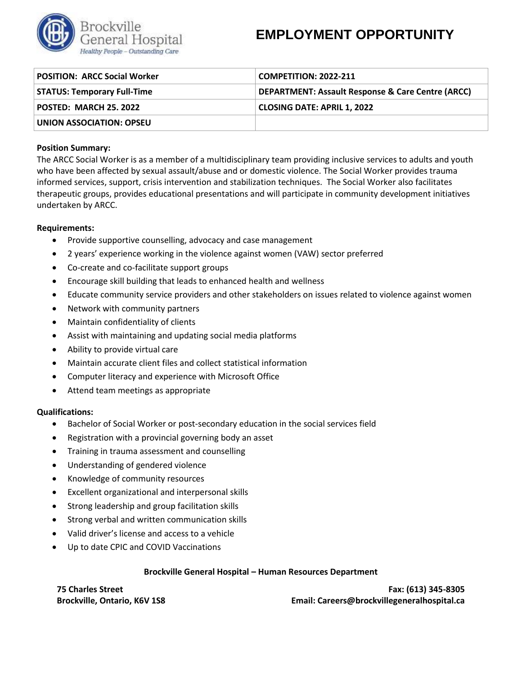

# **EMPLOYMENT OPPORTUNITY**

| <b>POSITION: ARCC Social Worker</b> | <b>COMPETITION: 2022-211</b>                                 |
|-------------------------------------|--------------------------------------------------------------|
| <b>STATUS: Temporary Full-Time</b>  | <b>DEPARTMENT: Assault Response &amp; Care Centre (ARCC)</b> |
| <b>POSTED: MARCH 25. 2022</b>       | <b>CLOSING DATE: APRIL 1, 2022</b>                           |
| UNION ASSOCIATION: OPSEU            |                                                              |

## **Position Summary:**

The ARCC Social Worker is as a member of a multidisciplinary team providing inclusive services to adults and youth who have been affected by sexual assault/abuse and or domestic violence. The Social Worker provides trauma informed services, support, crisis intervention and stabilization techniques. The Social Worker also facilitates therapeutic groups, provides educational presentations and will participate in community development initiatives undertaken by ARCC.

### **Requirements:**

- Provide supportive counselling, advocacy and case management
- 2 years' experience working in the violence against women (VAW) sector preferred
- Co-create and co-facilitate support groups
- Encourage skill building that leads to enhanced health and wellness
- Educate community service providers and other stakeholders on issues related to violence against women
- Network with community partners
- Maintain confidentiality of clients
- Assist with maintaining and updating social media platforms
- Ability to provide virtual care
- Maintain accurate client files and collect statistical information
- Computer literacy and experience with Microsoft Office
- Attend team meetings as appropriate

### **Qualifications:**

- Bachelor of Social Worker or post-secondary education in the social services field
- Registration with a provincial governing body an asset
- Training in trauma assessment and counselling
- Understanding of gendered violence
- Knowledge of community resources
- Excellent organizational and interpersonal skills
- Strong leadership and group facilitation skills
- Strong verbal and written communication skills
- Valid driver's license and access to a vehicle
- Up to date CPIC and COVID Vaccinations

### **Brockville General Hospital – Human Resources Department**

**75 Charles Street Brockville, Ontario, K6V 1S8**

**Fax: (613) 345-8305 Email: Careers@brockvillegeneralhospital.ca**